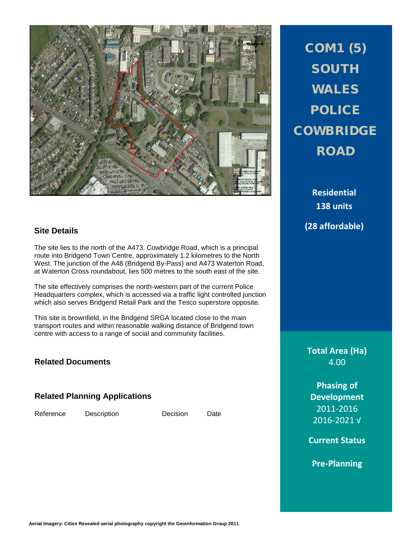

# COM1 (5) SOUTH WALES POLICE **COWBRIDGE** ROAD

**Residential 138 units (28 affordable)**

# **Site Details**

The site lies to the north of the A473, Cowbridge Road, which is a principal route into Bridgend Town Centre, approximately 1.2 kilometres to the North West. The junction of the A48 (Bridgend By-Pass) and A473 Waterton Road, at Waterton Cross roundabout, lies 500 metres to the south east of the site.

The site effectively comprises the north-western part of the current Police Headquarters complex, which is accessed via a traffic light controlled junction which also serves Bridgend Retail Park and the Tesco superstore opposite.

This site is brownfield, in the Bridgend SRGA located close to the main transport routes and within reasonable walking distance of Bridgend town centre with access to a range of social and community facilities.

## **Related Documents**

### **Related Planning Applications**

Reference Description Decision Date

**Total Area (Ha)** 4.00

> **Phasing of Development** 2011-2016 2016-2021 √

**Current Status** 

**Pre-Planning**